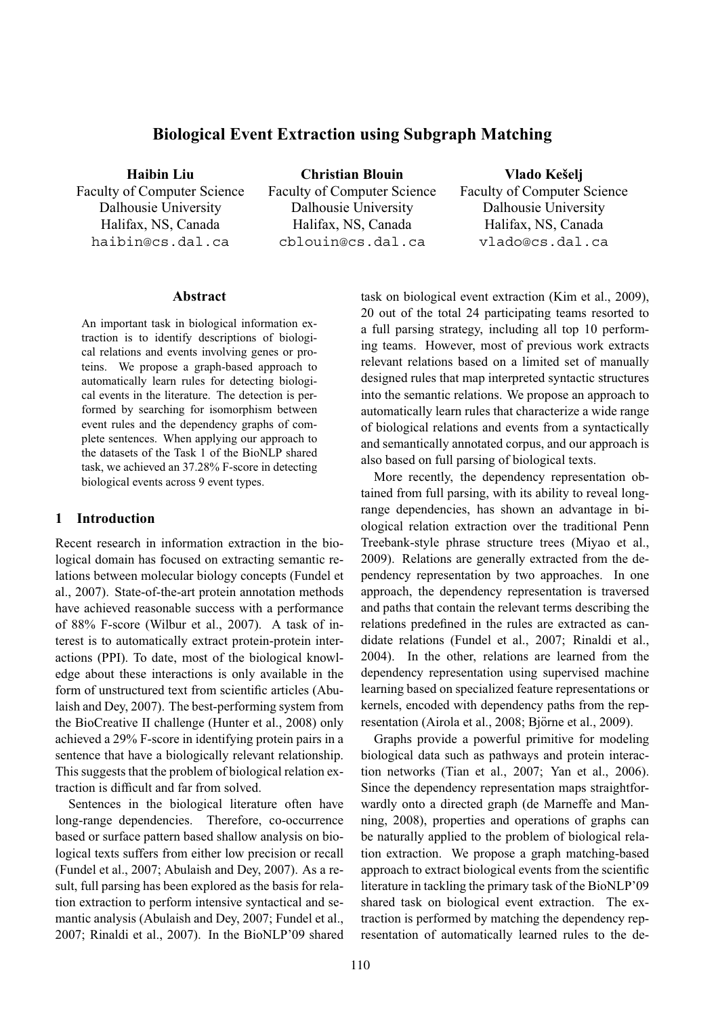# **Biological Event Extraction using Subgraph Matching**

**Haibin Liu** Faculty of Computer Science Dalhousie University Halifax, NS, Canada haibin@cs.dal.ca

**Christian Blouin** Faculty of Computer Science Dalhousie University Halifax, NS, Canada cblouin@cs.dal.ca

**Vlado Keselj ˇ**

Faculty of Computer Science Dalhousie University Halifax, NS, Canada vlado@cs.dal.ca

## **Abstract**

An important task in biological information extraction is to identify descriptions of biological relations and events involving genes or proteins. We propose a graph-based approach to automatically learn rules for detecting biological events in the literature. The detection is performed by searching for isomorphism between event rules and the dependency graphs of complete sentences. When applying our approach to the datasets of the Task 1 of the BioNLP shared task, we achieved an 37.28% F-score in detecting biological events across 9 event types.

#### **1 Introduction**

Recent research in information extraction in the biological domain has focused on extracting semantic relations between molecular biology concepts (Fundel et al., 2007). State-of-the-art protein annotation methods have achieved reasonable success with a performance of 88% F-score (Wilbur et al., 2007). A task of interest is to automatically extract protein-protein interactions (PPI). To date, most of the biological knowledge about these interactions is only available in the form of unstructured text from scientific articles (Abulaish and Dey, 2007). The best-performing system from the BioCreative II challenge (Hunter et al., 2008) only achieved a 29% F-score in identifying protein pairs in a sentence that have a biologically relevant relationship. This suggests that the problem of biological relation extraction is difficult and far from solved.

Sentences in the biological literature often have long-range dependencies. Therefore, co-occurrence based or surface pattern based shallow analysis on biological texts suffers from either low precision or recall (Fundel et al., 2007; Abulaish and Dey, 2007). As a result, full parsing has been explored as the basis for relation extraction to perform intensive syntactical and semantic analysis (Abulaish and Dey, 2007; Fundel et al., 2007; Rinaldi et al., 2007). In the BioNLP'09 shared task on biological event extraction (Kim et al., 2009), 20 out of the total 24 participating teams resorted to a full parsing strategy, including all top 10 performing teams. However, most of previous work extracts relevant relations based on a limited set of manually designed rules that map interpreted syntactic structures into the semantic relations. We propose an approach to automatically learn rules that characterize a wide range of biological relations and events from a syntactically and semantically annotated corpus, and our approach is also based on full parsing of biological texts.

More recently, the dependency representation obtained from full parsing, with its ability to reveal longrange dependencies, has shown an advantage in biological relation extraction over the traditional Penn Treebank-style phrase structure trees (Miyao et al., 2009). Relations are generally extracted from the dependency representation by two approaches. In one approach, the dependency representation is traversed and paths that contain the relevant terms describing the relations predefined in the rules are extracted as candidate relations (Fundel et al., 2007; Rinaldi et al., 2004). In the other, relations are learned from the dependency representation using supervised machine learning based on specialized feature representations or kernels, encoded with dependency paths from the representation (Airola et al., 2008; Björne et al., 2009).

Graphs provide a powerful primitive for modeling biological data such as pathways and protein interaction networks (Tian et al., 2007; Yan et al., 2006). Since the dependency representation maps straightforwardly onto a directed graph (de Marneffe and Manning, 2008), properties and operations of graphs can be naturally applied to the problem of biological relation extraction. We propose a graph matching-based approach to extract biological events from the scientific literature in tackling the primary task of the BioNLP'09 shared task on biological event extraction. The extraction is performed by matching the dependency representation of automatically learned rules to the de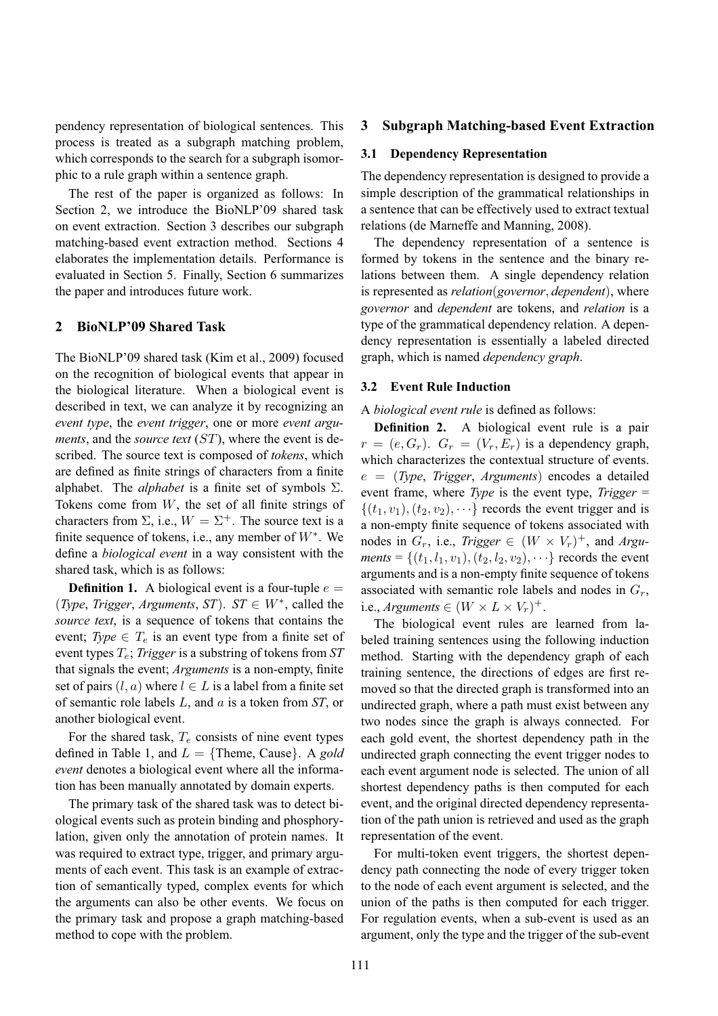pendency representation of biological sentences. This process is treated as a subgraph matching problem, which corresponds to the search for a subgraph isomorphic to a rule graph within a sentence graph.

The rest of the paper is organized as follows: In Section 2, we introduce the BioNLP'09 shared task on event extraction. Section 3 describes our subgraph matching-based event extraction method. Sections 4 elaborates the implementation details. Performance is evaluated in Section 5. Finally, Section 6 summarizes the paper and introduces future work.

# **2 BioNLP'09 Shared Task**

The BioNLP'09 shared task (Kim et al., 2009) focused on the recognition of biological events that appear in the biological literature. When a biological event is described in text, we can analyze it by recognizing an *event type*, the *event trigger*, one or more *event arguments*, and the *source text* (ST), where the event is described. The source text is composed of *tokens*, which are defined as finite strings of characters from a finite alphabet. The *alphabet* is a finite set of symbols Σ. Tokens come from  $W$ , the set of all finite strings of characters from  $\Sigma$ , i.e.,  $W = \Sigma^{+}$ . The source text is a finite sequence of tokens, i.e., any member of  $W^*$ . We define a *biological event* in a way consistent with the shared task, which is as follows:

**Definition 1.** A biological event is a four-tuple  $e =$ (*Type*, *Trigger*, *Arguments*, *ST*). *ST*  $\in$  *W*<sup>\*</sup>, called the *source text*, is a sequence of tokens that contains the event; *Type*  $\in$   $T_e$  is an event type from a finite set of event types Te; *Trigger* is a substring of tokens from *ST* that signals the event; *Arguments* is a non-empty, finite set of pairs  $(l, a)$  where  $l \in L$  is a label from a finite set of semantic role labels L, and a is a token from *ST*, or another biological event.

For the shared task,  $T_e$  consists of nine event types defined in Table 1, and  $L = \{$  Theme, Cause $\}$ . A *gold event* denotes a biological event where all the information has been manually annotated by domain experts.

The primary task of the shared task was to detect biological events such as protein binding and phosphorylation, given only the annotation of protein names. It was required to extract type, trigger, and primary arguments of each event. This task is an example of extraction of semantically typed, complex events for which the arguments can also be other events. We focus on the primary task and propose a graph matching-based method to cope with the problem.

## **3 Subgraph Matching-based Event Extraction**

## **3.1 Dependency Representation**

The dependency representation is designed to provide a simple description of the grammatical relationships in a sentence that can be effectively used to extract textual relations (de Marneffe and Manning, 2008).

The dependency representation of a sentence is formed by tokens in the sentence and the binary relations between them. A single dependency relation is represented as *relation*(*governor*, *dependent*), where *governor* and *dependent* are tokens, and *relation* is a type of the grammatical dependency relation. A dependency representation is essentially a labeled directed graph, which is named *dependency graph*.

#### **3.2 Event Rule Induction**

A *biological event rule* is defined as follows:

**Definition 2.** A biological event rule is a pair  $r = (e, G_r)$ .  $G_r = (V_r, E_r)$  is a dependency graph, which characterizes the contextual structure of events. e = (*Type*, *Trigger*, *Arguments*) encodes a detailed event frame, where *Type* is the event type, *Trigger* =  $\{(t_1,v_1), (t_2,v_2), \cdots\}$  records the event trigger and is a non-empty finite sequence of tokens associated with nodes in  $G_r$ , i.e., *Trigger*  $\in (W \times V_r)^+$ , and *Arguments* = { $(t_1, l_1, v_1)$ ,  $(t_2, l_2, v_2)$ ,  $\cdots$ } records the event arguments and is a non-empty finite sequence of tokens associated with semantic role labels and nodes in  $G_r$ , i.e., *Arguments*  $\in (W \times L \times V_r)^+$ .

The biological event rules are learned from labeled training sentences using the following induction method. Starting with the dependency graph of each training sentence, the directions of edges are first removed so that the directed graph is transformed into an undirected graph, where a path must exist between any two nodes since the graph is always connected. For each gold event, the shortest dependency path in the undirected graph connecting the event trigger nodes to each event argument node is selected. The union of all shortest dependency paths is then computed for each event, and the original directed dependency representation of the path union is retrieved and used as the graph representation of the event.

For multi-token event triggers, the shortest dependency path connecting the node of every trigger token to the node of each event argument is selected, and the union of the paths is then computed for each trigger. For regulation events, when a sub-event is used as an argument, only the type and the trigger of the sub-event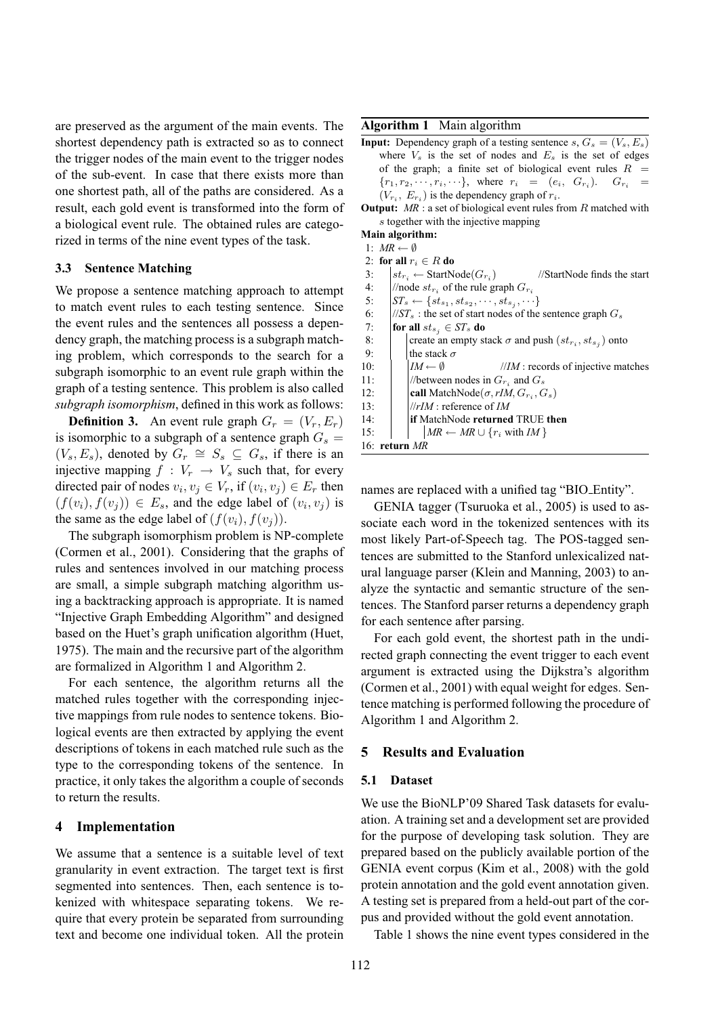are preserved as the argument of the main events. The shortest dependency path is extracted so as to connect the trigger nodes of the main event to the trigger nodes of the sub-event. In case that there exists more than one shortest path, all of the paths are considered. As a result, each gold event is transformed into the form of a biological event rule. The obtained rules are categorized in terms of the nine event types of the task.

### **3.3 Sentence Matching**

We propose a sentence matching approach to attempt to match event rules to each testing sentence. Since the event rules and the sentences all possess a dependency graph, the matching process is a subgraph matching problem, which corresponds to the search for a subgraph isomorphic to an event rule graph within the graph of a testing sentence. This problem is also called *subgraph isomorphism*, defined in this work as follows:

**Definition 3.** An event rule graph  $G_r = (V_r, E_r)$ is isomorphic to a subgraph of a sentence graph  $G_s =$  $(V_s, E_s)$ , denoted by  $G_r \cong S_s \subseteq G_s$ , if there is an injective mapping  $f : V_r \to V_s$  such that, for every directed pair of nodes  $v_i, v_j \in V_r$ , if  $(v_i, v_j) \in E_r$  then  $(f(v_i), f(v_j)) \in E_s$ , and the edge label of  $(v_i, v_j)$  is the same as the edge label of  $(f(v_i), f(v_j))$ .

The subgraph isomorphism problem is NP-complete (Cormen et al., 2001). Considering that the graphs of rules and sentences involved in our matching process are small, a simple subgraph matching algorithm using a backtracking approach is appropriate. It is named "Injective Graph Embedding Algorithm" and designed based on the Huet's graph unification algorithm (Huet, 1975). The main and the recursive part of the algorithm are formalized in Algorithm 1 and Algorithm 2.

For each sentence, the algorithm returns all the matched rules together with the corresponding injective mappings from rule nodes to sentence tokens. Biological events are then extracted by applying the event descriptions of tokens in each matched rule such as the type to the corresponding tokens of the sentence. In practice, it only takes the algorithm a couple of seconds to return the results.

# **4 Implementation**

We assume that a sentence is a suitable level of text granularity in event extraction. The target text is first segmented into sentences. Then, each sentence is tokenized with whitespace separating tokens. We require that every protein be separated from surrounding text and become one individual token. All the protein

## **Algorithm 1** Main algorithm

**Input:** Dependency graph of a testing sentence s,  $G_s = (V_s, E_s)$ where  $V_s$  is the set of nodes and  $E_s$  is the set of edges of the graph; a finite set of biological event rules  $R =$  $\{r_1, r_2, \cdots, r_i, \cdots\}$ , where  $r_i = (e_i, G_{r_i})$ .  $G_{r_i} =$  $(V_{r_i}, E_{r_i})$  is the dependency graph of  $r_i$ .

**Output:** MR : a set of biological event rules from R matched with s together with the injective mapping

**Main algorithm:**

- 1:  $MR \leftarrow \emptyset$ 2: **for all**  $r_i \in R$  **do**
- 
- 3:  $\vert st_{r_i} \leftarrow \text{StartNode}(G_{r_i})$ ) //StartNode finds the start
- 4:  $\big| / \text{node} \, st_{r_i} \text{ of the rule graph } G_{r_i}$
- 5:  $\left| ST_s \leftarrow \{st_{s_1}, st_{s_2}, \cdots, st_{s_j}, \cdots \}$
- 6:  $\frac{1}{S}$  //*ST<sub>s</sub>* : the set of start nodes of the sentence graph  $G_s$
- 7: **for all**  $st_{s_i} \in ST_s$  **do**
- 8: create an empty stack  $\sigma$  and push  $(st_{r_i}, st_{s_j})$  onto 9:  $\vert$  the stack  $\sigma$ 10:  $\vert$   $\vert$  *IM*  $\leftarrow$   $\emptyset$  //*IM* : records of injective matches
- 11:  $\left| \right|$  //between nodes in  $G_{r_i}$  and  $G_s$ 12: **call** MatchNode( $\sigma$ , rIM,  $G_{r_i}$ ,  $G_s$ ) 13: //*rIM* : reference of *IM*
- 14: **if** MatchNode **returned** TRUE **then**
- 15:  $\vert$  *MR* ← *MR* ∪ { $r_i$  with *IM* }

16: **return** *MR*

names are replaced with a unified tag "BIO Entity".

GENIA tagger (Tsuruoka et al., 2005) is used to associate each word in the tokenized sentences with its most likely Part-of-Speech tag. The POS-tagged sentences are submitted to the Stanford unlexicalized natural language parser (Klein and Manning, 2003) to analyze the syntactic and semantic structure of the sentences. The Stanford parser returns a dependency graph for each sentence after parsing.

For each gold event, the shortest path in the undirected graph connecting the event trigger to each event argument is extracted using the Dijkstra's algorithm (Cormen et al., 2001) with equal weight for edges. Sentence matching is performed following the procedure of Algorithm 1 and Algorithm 2.

# **5 Results and Evaluation**

#### **5.1 Dataset**

We use the BioNLP'09 Shared Task datasets for evaluation. A training set and a development set are provided for the purpose of developing task solution. They are prepared based on the publicly available portion of the GENIA event corpus (Kim et al., 2008) with the gold protein annotation and the gold event annotation given. A testing set is prepared from a held-out part of the corpus and provided without the gold event annotation.

Table 1 shows the nine event types considered in the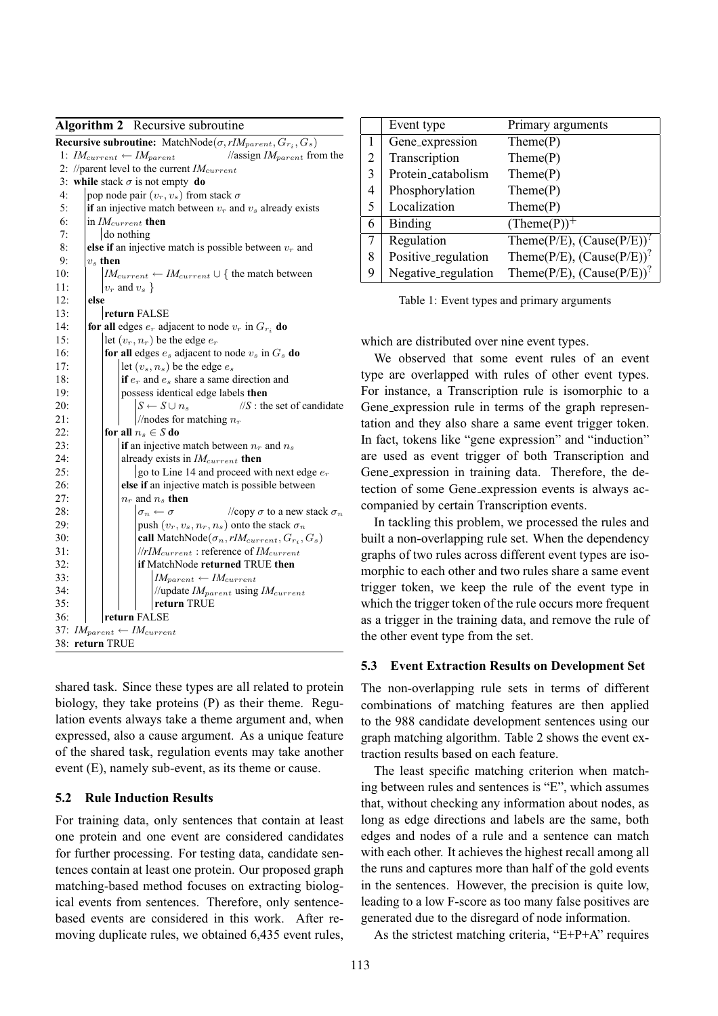| <b>Algorithm 2</b> Recursive subroutine                                                        |  |  |  |  |  |
|------------------------------------------------------------------------------------------------|--|--|--|--|--|
| <b>Recursive subroutine:</b> MatchNode( $\sigma$ , rIM <sub>parent</sub> , $G_{r_i}$ , $G_s$ ) |  |  |  |  |  |
| 1: $IM_{current} \leftarrow IM_{parent}$<br>//assign $IM_{parent}$ from the                    |  |  |  |  |  |
| 2: //parent level to the current $IM_{current}$                                                |  |  |  |  |  |
| 3: while stack $\sigma$ is not empty do                                                        |  |  |  |  |  |
| 4:<br>pop node pair $(v_r, v_s)$ from stack $\sigma$                                           |  |  |  |  |  |
| 5:<br>if an injective match between $v_r$ and $v_s$ already exists                             |  |  |  |  |  |
| 6:<br>in $IM_{current}$ then                                                                   |  |  |  |  |  |
| 7:<br>do nothing                                                                               |  |  |  |  |  |
| 8:<br>else if an injective match is possible between $v_r$ and                                 |  |  |  |  |  |
| 9:<br>$v_s$ then                                                                               |  |  |  |  |  |
| 10:<br>$ IM_{current} \leftarrow IM_{current} \cup \{$ the match between                       |  |  |  |  |  |
| 11:<br>$ v_r \text{ and } v_s $                                                                |  |  |  |  |  |
| 12:<br>else                                                                                    |  |  |  |  |  |
| 13:<br>return FALSE                                                                            |  |  |  |  |  |
| 14:<br>for all edges $e_r$ adjacent to node $v_r$ in $G_{r_i}$ do                              |  |  |  |  |  |
| 15:<br>let $(v_r, n_r)$ be the edge $e_r$                                                      |  |  |  |  |  |
| 16:<br>for all edges $e_s$ adjacent to node $v_s$ in $G_s$ do                                  |  |  |  |  |  |
| 17:<br>let $(v_s, n_s)$ be the edge $e_s$                                                      |  |  |  |  |  |
| 18:<br>if $e_r$ and $e_s$ share a same direction and                                           |  |  |  |  |  |
| possess identical edge labels then<br>19:                                                      |  |  |  |  |  |
| $S \leftarrow S \cup n_s$<br>$\frac{1}{S}$ : the set of candidate<br>20:                       |  |  |  |  |  |
| //nodes for matching $n_r$<br>21:                                                              |  |  |  |  |  |
| 22:<br>for all $n_s \in S$ do                                                                  |  |  |  |  |  |
| if an injective match between $n_r$ and $n_s$<br>23:                                           |  |  |  |  |  |
| 24:<br>already exists in $IM_{current}$ then                                                   |  |  |  |  |  |
| 25:<br>go to Line 14 and proceed with next edge $e_r$                                          |  |  |  |  |  |
| 26:<br>else if an injective match is possible between                                          |  |  |  |  |  |
| 27:<br>$n_r$ and $n_s$ then                                                                    |  |  |  |  |  |
| 28:<br>$\sigma_n \leftarrow \sigma$<br>//copy $\sigma$ to a new stack $\sigma_n$               |  |  |  |  |  |
| push $(v_r, v_s, n_r, n_s)$ onto the stack $\sigma_n$<br>29:                                   |  |  |  |  |  |
| 30:<br>call MatchNode $(\sigma_n, rIM_{current}, G_{r_i}, G_s)$                                |  |  |  |  |  |
| $\sqrt{ r}$ <i>M</i> <sub>current</sub> : reference of <i>IM</i> <sub>current</sub><br>31:     |  |  |  |  |  |
| 32:<br>if MatchNode returned TRUE then                                                         |  |  |  |  |  |
| 33:<br>$IM_{parent} \leftarrow IM_{current}$                                                   |  |  |  |  |  |
| 34:<br>//update $IM_{parent}$ using $IM_{current}$                                             |  |  |  |  |  |
| 35:<br>return TRUE<br>36:                                                                      |  |  |  |  |  |
| return FALSE                                                                                   |  |  |  |  |  |
| 37:<br>$IM_{parent} \leftarrow IM_{current}$                                                   |  |  |  |  |  |
| 38: return TRUE                                                                                |  |  |  |  |  |

shared task. Since these types are all related to protein biology, they take proteins (P) as their theme. Regulation events always take a theme argument and, when expressed, also a cause argument. As a unique feature of the shared task, regulation events may take another event (E), namely sub-event, as its theme or cause.

# **5.2 Rule Induction Results**

For training data, only sentences that contain at least one protein and one event are considered candidates for further processing. For testing data, candidate sentences contain at least one protein. Our proposed graph matching-based method focuses on extracting biological events from sentences. Therefore, only sentencebased events are considered in this work. After removing duplicate rules, we obtained 6,435 event rules,

|                | Event type          | Primary arguments                             |
|----------------|---------------------|-----------------------------------------------|
|                | Gene_expression     | Thene(P)                                      |
| $\overline{2}$ | Transcription       | Thene(P)                                      |
| 3              | Protein_catabolism  | Then (P)                                      |
| 4              | Phosphorylation     | Thene(P)                                      |
| 5              | Localization        | Thene(P)                                      |
| 6              | Binding             | $(Thene(P))^+$                                |
| 7              | Regulation          | Theme(P/E), $(Cause(P/E))^?$                  |
| 8              | Positive_regulation | Theme(P/E), $(Cause(P/E))^?$                  |
| 9              | Negative_regulation | Theme( $P/E$ ), (Cause( $P/E$ )) <sup>?</sup> |

Table 1: Event types and primary arguments

which are distributed over nine event types.

We observed that some event rules of an event type are overlapped with rules of other event types. For instance, a Transcription rule is isomorphic to a Gene expression rule in terms of the graph representation and they also share a same event trigger token. In fact, tokens like "gene expression" and "induction" are used as event trigger of both Transcription and Gene expression in training data. Therefore, the detection of some Gene expression events is always accompanied by certain Transcription events.

In tackling this problem, we processed the rules and built a non-overlapping rule set. When the dependency graphs of two rules across different event types are isomorphic to each other and two rules share a same event trigger token, we keep the rule of the event type in which the trigger token of the rule occurs more frequent as a trigger in the training data, and remove the rule of the other event type from the set.

# **5.3 Event Extraction Results on Development Set**

The non-overlapping rule sets in terms of different combinations of matching features are then applied to the 988 candidate development sentences using our graph matching algorithm. Table 2 shows the event extraction results based on each feature.

The least specific matching criterion when matching between rules and sentences is "E", which assumes that, without checking any information about nodes, as long as edge directions and labels are the same, both edges and nodes of a rule and a sentence can match with each other. It achieves the highest recall among all the runs and captures more than half of the gold events in the sentences. However, the precision is quite low, leading to a low F-score as too many false positives are generated due to the disregard of node information.

As the strictest matching criteria, "E+P+A" requires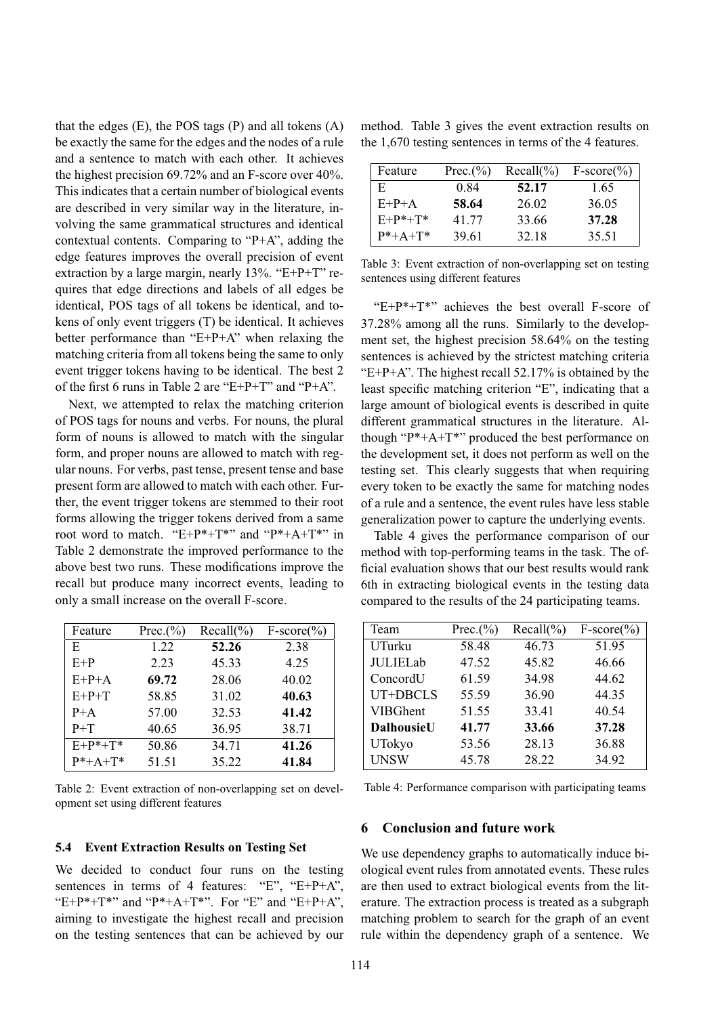that the edges  $(E)$ , the POS tags  $(P)$  and all tokens  $(A)$ be exactly the same for the edges and the nodes of a rule and a sentence to match with each other. It achieves the highest precision 69.72% and an F-score over 40%. This indicates that a certain number of biological events are described in very similar way in the literature, involving the same grammatical structures and identical contextual contents. Comparing to "P+A", adding the edge features improves the overall precision of event extraction by a large margin, nearly 13%. "E+P+T" requires that edge directions and labels of all edges be identical, POS tags of all tokens be identical, and tokens of only event triggers (T) be identical. It achieves better performance than "E+P+A" when relaxing the matching criteria from all tokens being the same to only event trigger tokens having to be identical. The best 2 of the first 6 runs in Table 2 are "E+P+T" and "P+A".

Next, we attempted to relax the matching criterion of POS tags for nouns and verbs. For nouns, the plural form of nouns is allowed to match with the singular form, and proper nouns are allowed to match with regular nouns. For verbs, past tense, present tense and base present form are allowed to match with each other. Further, the event trigger tokens are stemmed to their root forms allowing the trigger tokens derived from a same root word to match. "E+P\*+T\*" and "P\*+A+T\*" in Table 2 demonstrate the improved performance to the above best two runs. These modifications improve the recall but produce many incorrect events, leading to only a small increase on the overall F-score.

| Feature         | Prec.(%) | $Recall(\%)$ | $F-score(\%)$ |
|-----------------|----------|--------------|---------------|
| E               | 1.22     | 52.26        | 2.38          |
| $E+P$           | 2.23     | 45.33        | 4.25          |
| $E+P+A$         | 69.72    | 28.06        | 40.02         |
| $E+P+T$         | 58.85    | 31.02        | 40.63         |
| $P+A$           | 57.00    | 32.53        | 41.42         |
| $P+T$           | 40.65    | 36.95        | 38.71         |
| $E+P^*+T^*$     | 50.86    | 34.71        | 41.26         |
| $P^* + A + T^*$ | 51.51    | 35.22        | 41.84         |

Table 2: Event extraction of non-overlapping set on development set using different features

#### **5.4 Event Extraction Results on Testing Set**

We decided to conduct four runs on the testing sentences in terms of 4 features: "E", "E+P+A", "E+P\*+T\*" and "P\*+A+T\*". For "E" and "E+P+A", aiming to investigate the highest recall and precision on the testing sentences that can be achieved by our

method. Table 3 gives the event extraction results on the 1,670 testing sentences in terms of the 4 features.

| Feature         | Prec. $(\% )$ | $Recall(\%)$ | $F-score(\%)$ |
|-----------------|---------------|--------------|---------------|
| E.              | 0.84          | 52.17        | 1.65          |
| $E+P+A$         | 58.64         | 26.02        | 36.05         |
| $E+P^*+T^*$     | 41.77         | 33.66        | 37.28         |
| $P^* + A + T^*$ | 39.61         | 32.18        | 35.51         |

Table 3: Event extraction of non-overlapping set on testing sentences using different features

" $E+P^*+T^*$ " achieves the best overall F-score of 37.28% among all the runs. Similarly to the development set, the highest precision 58.64% on the testing sentences is achieved by the strictest matching criteria "E+P+A". The highest recall  $52.17\%$  is obtained by the least specific matching criterion "E", indicating that a large amount of biological events is described in quite different grammatical structures in the literature. Although "P\*+A+T\*" produced the best performance on the development set, it does not perform as well on the testing set. This clearly suggests that when requiring every token to be exactly the same for matching nodes of a rule and a sentence, the event rules have less stable generalization power to capture the underlying events.

Table 4 gives the performance comparison of our method with top-performing teams in the task. The official evaluation shows that our best results would rank 6th in extracting biological events in the testing data compared to the results of the 24 participating teams.

| Team              | Prec. $(\%)$ | $Recall(\%)$ | $F-score(\%)$ |
|-------------------|--------------|--------------|---------------|
| UTurku            | 58.48        | 46.73        | 51.95         |
| <b>JULIELab</b>   | 47.52        | 45.82        | 46.66         |
| ConcordU          | 61.59        | 34.98        | 44.62         |
| UT+DBCLS          | 55.59        | 36.90        | 44.35         |
| <b>VIBGhent</b>   | 51.55        | 33.41        | 40.54         |
| <b>DalhousieU</b> | 41.77        | 33.66        | 37.28         |
| UTokyo            | 53.56        | 28.13        | 36.88         |
| <b>UNSW</b>       | 45.78        | 28.22        | 34.92         |

Table 4: Performance comparison with participating teams

## **6 Conclusion and future work**

We use dependency graphs to automatically induce biological event rules from annotated events. These rules are then used to extract biological events from the literature. The extraction process is treated as a subgraph matching problem to search for the graph of an event rule within the dependency graph of a sentence. We